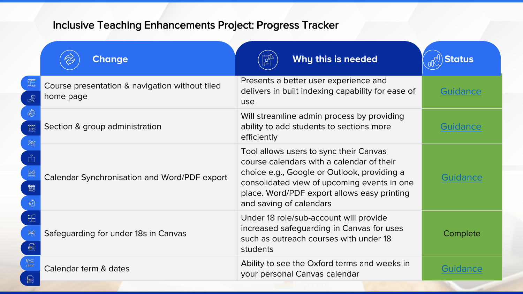| <b>Change</b>                                               | $\begin{bmatrix} 1 & 1 \\ 1 & 1 \end{bmatrix}$<br>Why this is needed                                                                                                                                                                                        | <b>Status</b>   |
|-------------------------------------------------------------|-------------------------------------------------------------------------------------------------------------------------------------------------------------------------------------------------------------------------------------------------------------|-----------------|
| Course presentation & navigation without tiled<br>home page | Presents a better user experience and<br>delivers in built indexing capability for ease of<br>use                                                                                                                                                           | Guidance        |
| Section & group administration                              | Will streamline admin process by providing<br>ability to add students to sections more<br>efficiently                                                                                                                                                       | <b>Guidance</b> |
| Calendar Synchronisation and Word/PDF export                | Tool allows users to sync their Canvas<br>course calendars with a calendar of their<br>choice e.g., Google or Outlook, providing a<br>consolidated view of upcoming events in one<br>place. Word/PDF export allows easy printing<br>and saving of calendars | Guidance        |
| Safeguarding for under 18s in Canvas                        | Under 18 role/sub-account will provide<br>increased safeguarding in Canvas for uses<br>such as outreach courses with under 18<br>students                                                                                                                   | Complete        |
| Calendar term & dates                                       | Ability to see the Oxford terms and weeks in<br>your personal Canvas calendar                                                                                                                                                                               | Guidance        |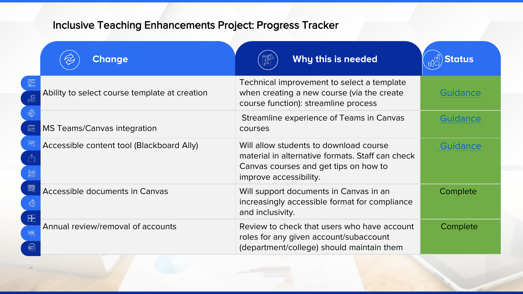| <b>Change</b>                                 | 翻<br>Why this is needed                                                                                                                                       | <b>Status</b>   |
|-----------------------------------------------|---------------------------------------------------------------------------------------------------------------------------------------------------------------|-----------------|
| Ability to select course template at creation | Technical improvement to select a template<br>when creating a new course (via the create<br>course function): streamline process                              | Guidance        |
| <b>MS Teams/Canvas integration</b>            | Streamline experience of Teams in Canvas<br>courses                                                                                                           | Guidance        |
| Accessible content tool (Blackboard Ally)     | Will allow students to download course<br>material in alternative formats. Staff can check<br>Canvas courses and get tips on how to<br>improve accessibility. | <b>Guidance</b> |
| <b>Accessible documents in Canvas</b>         | Will support documents in Canvas in an<br>increasingly accessible format for compliance<br>and inclusivity.                                                   | Complete        |
| Annual review/removal of accounts             | Review to check that users who have account<br>roles for any given account/subaccount<br>(department/college) should maintain them                            | Complete        |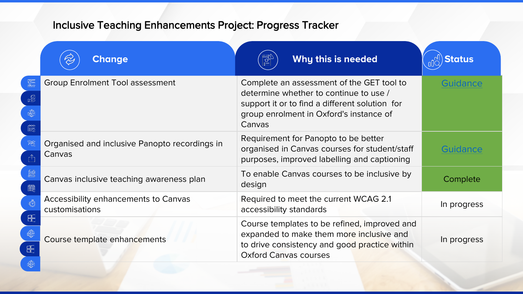| <b>Change</b>                                                 | Why this is needed<br>$\frac{1}{2}$                                                                                                                                                        | <b>Status</b>   |
|---------------------------------------------------------------|--------------------------------------------------------------------------------------------------------------------------------------------------------------------------------------------|-----------------|
| <b>Group Enrolment Tool assessment</b>                        | Complete an assessment of the GET tool to<br>determine whether to continue to use /<br>support it or to find a different solution for<br>group enrolment in Oxford's instance of<br>Canvas | <b>Guidance</b> |
| Organised and inclusive Panopto recordings in<br>Canvas       | Requirement for Panopto to be better<br>organised in Canvas courses for student/staff<br>purposes, improved labelling and captioning                                                       | Guidance        |
| Canvas inclusive teaching awareness plan                      | To enable Canvas courses to be inclusive by<br>design                                                                                                                                      | Complete        |
| <b>Accessibility enhancements to Canvas</b><br>customisations | Required to meet the current WCAG 2.1<br>accessibility standards                                                                                                                           | In progress     |
| Course template enhancements                                  | Course templates to be refined, improved and<br>expanded to make them more inclusive and<br>to drive consistency and good practice within<br><b>Oxford Canvas courses</b>                  | In progress     |